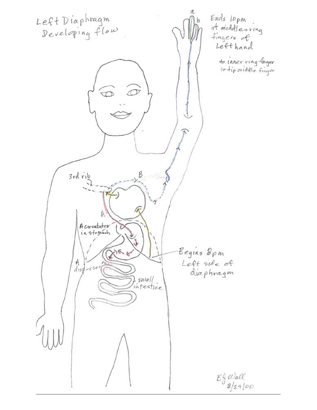